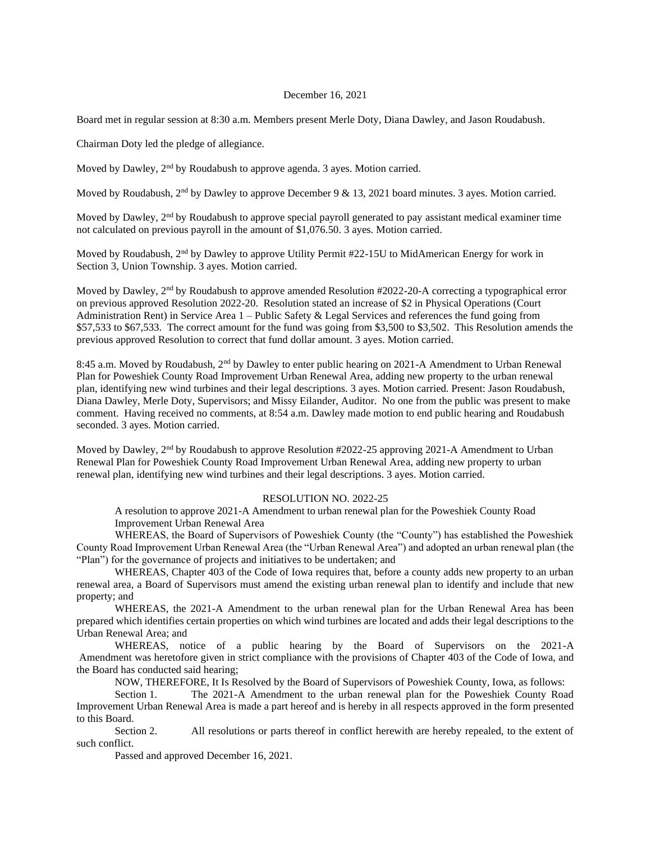## December 16, 2021

Board met in regular session at 8:30 a.m. Members present Merle Doty, Diana Dawley, and Jason Roudabush.

Chairman Doty led the pledge of allegiance.

Moved by Dawley, 2<sup>nd</sup> by Roudabush to approve agenda. 3 ayes. Motion carried.

Moved by Roudabush, 2<sup>nd</sup> by Dawley to approve December 9 & 13, 2021 board minutes. 3 ayes. Motion carried.

Moved by Dawley, 2<sup>nd</sup> by Roudabush to approve special payroll generated to pay assistant medical examiner time not calculated on previous payroll in the amount of \$1,076.50. 3 ayes. Motion carried.

Moved by Roudabush, 2<sup>nd</sup> by Dawley to approve Utility Permit #22-15U to MidAmerican Energy for work in Section 3, Union Township. 3 ayes. Motion carried.

Moved by Dawley, 2<sup>nd</sup> by Roudabush to approve amended Resolution #2022-20-A correcting a typographical error on previous approved Resolution 2022-20. Resolution stated an increase of \$2 in Physical Operations (Court Administration Rent) in Service Area 1 – Public Safety & Legal Services and references the fund going from \$57,533 to \$67,533. The correct amount for the fund was going from \$3,500 to \$3,502. This Resolution amends the previous approved Resolution to correct that fund dollar amount. 3 ayes. Motion carried.

8:45 a.m. Moved by Roudabush, 2nd by Dawley to enter public hearing on 2021-A Amendment to Urban Renewal Plan for Poweshiek County Road Improvement Urban Renewal Area, adding new property to the urban renewal plan, identifying new wind turbines and their legal descriptions. 3 ayes. Motion carried. Present: Jason Roudabush, Diana Dawley, Merle Doty, Supervisors; and Missy Eilander, Auditor. No one from the public was present to make comment. Having received no comments, at 8:54 a.m. Dawley made motion to end public hearing and Roudabush seconded. 3 ayes. Motion carried.

Moved by Dawley, 2<sup>nd</sup> by Roudabush to approve Resolution #2022-25 approving 2021-A Amendment to Urban Renewal Plan for Poweshiek County Road Improvement Urban Renewal Area, adding new property to urban renewal plan, identifying new wind turbines and their legal descriptions. 3 ayes. Motion carried.

## RESOLUTION NO. 2022-25

A resolution to approve 2021-A Amendment to urban renewal plan for the Poweshiek County Road Improvement Urban Renewal Area

WHEREAS, the Board of Supervisors of Poweshiek County (the "County") has established the Poweshiek County Road Improvement Urban Renewal Area (the "Urban Renewal Area") and adopted an urban renewal plan (the "Plan") for the governance of projects and initiatives to be undertaken; and

WHEREAS, Chapter 403 of the Code of Iowa requires that, before a county adds new property to an urban renewal area, a Board of Supervisors must amend the existing urban renewal plan to identify and include that new property; and

WHEREAS, the 2021-A Amendment to the urban renewal plan for the Urban Renewal Area has been prepared which identifies certain properties on which wind turbines are located and adds their legal descriptions to the Urban Renewal Area; and

WHEREAS, notice of a public hearing by the Board of Supervisors on the 2021-A Amendment was heretofore given in strict compliance with the provisions of Chapter 403 of the Code of Iowa, and the Board has conducted said hearing;

NOW, THEREFORE, It Is Resolved by the Board of Supervisors of Poweshiek County, Iowa, as follows:

Section 1. The 2021-A Amendment to the urban renewal plan for the Poweshiek County Road Improvement Urban Renewal Area is made a part hereof and is hereby in all respects approved in the form presented to this Board.

Section 2. All resolutions or parts thereof in conflict herewith are hereby repealed, to the extent of such conflict.

Passed and approved December 16, 2021.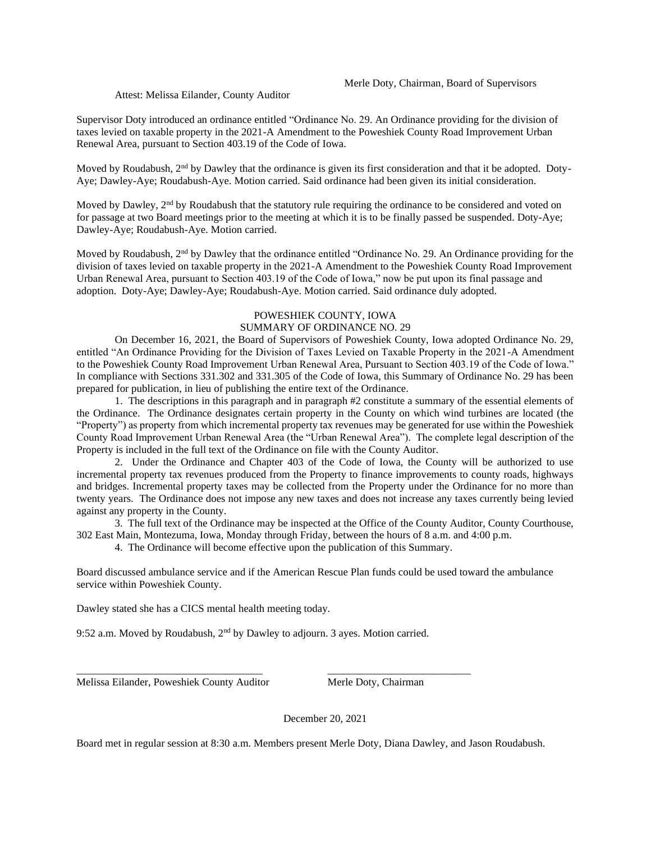Supervisor Doty introduced an ordinance entitled "Ordinance No. 29. An Ordinance providing for the division of taxes levied on taxable property in the 2021-A Amendment to the Poweshiek County Road Improvement Urban Renewal Area, pursuant to Section 403.19 of the Code of Iowa.

Moved by Roudabush,  $2<sup>nd</sup>$  by Dawley that the ordinance is given its first consideration and that it be adopted. Doty-Aye; Dawley-Aye; Roudabush-Aye. Motion carried. Said ordinance had been given its initial consideration.

Moved by Dawley, 2<sup>nd</sup> by Roudabush that the statutory rule requiring the ordinance to be considered and voted on for passage at two Board meetings prior to the meeting at which it is to be finally passed be suspended. Doty-Aye; Dawley-Aye; Roudabush-Aye. Motion carried.

Moved by Roudabush, 2<sup>nd</sup> by Dawley that the ordinance entitled "Ordinance No. 29. An Ordinance providing for the division of taxes levied on taxable property in the 2021-A Amendment to the Poweshiek County Road Improvement Urban Renewal Area, pursuant to Section 403.19 of the Code of Iowa," now be put upon its final passage and adoption. Doty-Aye; Dawley-Aye; Roudabush-Aye. Motion carried. Said ordinance duly adopted.

## POWESHIEK COUNTY, IOWA SUMMARY OF ORDINANCE NO. 29

On December 16, 2021, the Board of Supervisors of Poweshiek County, Iowa adopted Ordinance No. 29, entitled "An Ordinance Providing for the Division of Taxes Levied on Taxable Property in the 2021-A Amendment to the Poweshiek County Road Improvement Urban Renewal Area, Pursuant to Section 403.19 of the Code of Iowa." In compliance with Sections 331.302 and 331.305 of the Code of Iowa, this Summary of Ordinance No. 29 has been prepared for publication, in lieu of publishing the entire text of the Ordinance.

1. The descriptions in this paragraph and in paragraph #2 constitute a summary of the essential elements of the Ordinance. The Ordinance designates certain property in the County on which wind turbines are located (the "Property") as property from which incremental property tax revenues may be generated for use within the Poweshiek County Road Improvement Urban Renewal Area (the "Urban Renewal Area"). The complete legal description of the Property is included in the full text of the Ordinance on file with the County Auditor.

2. Under the Ordinance and Chapter 403 of the Code of Iowa, the County will be authorized to use incremental property tax revenues produced from the Property to finance improvements to county roads, highways and bridges. Incremental property taxes may be collected from the Property under the Ordinance for no more than twenty years. The Ordinance does not impose any new taxes and does not increase any taxes currently being levied against any property in the County.

3. The full text of the Ordinance may be inspected at the Office of the County Auditor, County Courthouse, 302 East Main, Montezuma, Iowa, Monday through Friday, between the hours of 8 a.m. and 4:00 p.m.

4. The Ordinance will become effective upon the publication of this Summary.

Board discussed ambulance service and if the American Rescue Plan funds could be used toward the ambulance service within Poweshiek County.

Dawley stated she has a CICS mental health meeting today.

9:52 a.m. Moved by Roudabush, 2<sup>nd</sup> by Dawley to adjourn. 3 ayes. Motion carried.

\_\_\_\_\_\_\_\_\_\_\_\_\_\_\_\_\_\_\_\_\_\_\_\_\_\_\_\_\_\_\_\_\_\_\_ \_\_\_\_\_\_\_\_\_\_\_\_\_\_\_\_\_\_\_\_\_\_\_\_\_\_\_

Melissa Eilander, Poweshiek County Auditor Merle Doty, Chairman

December 20, 2021

Board met in regular session at 8:30 a.m. Members present Merle Doty, Diana Dawley, and Jason Roudabush.